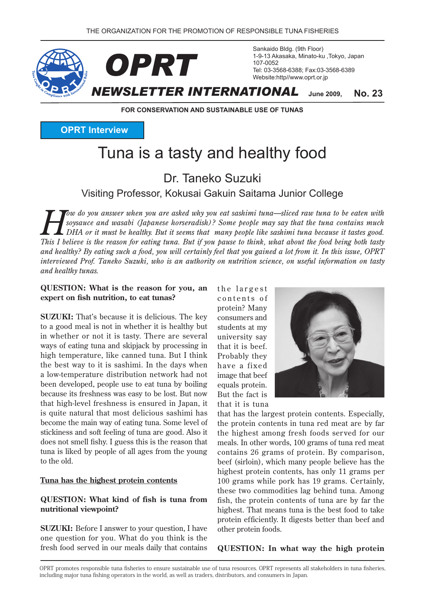*OPRT*



Sankaido Bldg. (9th Floor) 1-9-13 Akasaka, Minato-ku, Tokyo, Japan 107-0052 Tel: 03-3568-6388; Fax: 03-3568-6389 Website:http//www.oprt.or.jp

**2009, June**

**FOR CONSERVATION AND SUSTAINABLE USE OF TUNAS** 

**OPRT** Interview

# Tuna is a tasty and healthy food

Dr Taneko Suzuki

Visiting Professor, Kokusai Gakuin Saitama Junior College

*Fow do you answer when you are asked why you eat sashimi tuna—sliced raw tuna to be eaten with soysauce and wasabi (Japanese horseradish)? Some people may say that the tuna contains much L* DHA or it must be healthy. But it seems that many people like sashimi tuna because it tastes good. *This I believe is the reason for eating tuna. But if you pause to think, what about the food being both tasty* and healthy? By eating such a food, you will certainly feel that you gained a lot from it. In this issue, OPRT *interviewed Prof. Taneko Suzuki, who is an authority on nutrition science, on useful information on tasty and healthy tunas.* 

#### **QUESTION:** What is the reason for you, an expert on fish nutrition, to eat tunas?

**SUZUKI:** That's because it is delicious. The key to a good meal is not in whether it is healthy but in whether or not it is tasty. There are several ways of eating tuna and skipjack by processing in high temperature, like canned tuna. But I think the best way to it is sashimi. In the days when a low-temperature distribution network had not been developed, people use to eat tuna by boiling because its freshness was easy to be lost. But now that high-level freshness is ensured in Japan, it is quite natural that most delicious sashimi has become the main way of eating tuna. Some level of stickiness and soft feeling of tuna are good. Also it does not smell fishy. I guess this is the reason that tuna is liked by people of all ages from the young to the old.

#### Tuna has the highest protein contents

## **QUESTION:** What kind of fish is tuna from nutritional viewpoint?

**SUZUKI:** Before I answer to your question, I have one question for you. What do you think is the fresh food served in our meals daily that contains the largest contents of protein? Many consumers and students at my university say that it is beef. Probably they have a fixed image that beef equals protein. But the fact is that it is tuna



that has the largest protein contents. Especially, the protein contents in tuna red meat are by far the highest among fresh foods served for our meals. In other words, 100 grams of tuna red meat contains 26 grams of protein. By comparison, beef (sirloin), which many people believe has the highest protein contents, has only 11 grams per 100 grams while pork has 19 grams. Certainly, these two commodities lag behind tuna. Among fish, the protein contents of tuna are by far the highest. That means tuna is the best food to take protein efficiently. It digests better than beef and other protein foods.

#### **QUESTION:** In what way the high protein

OPRT promotes responsible tuna fisheries to ensure sustainable use of tuna resources. OPRT represents all stakeholders in tuna fisheries. including major tuna fishing operators in the world, as well as traders, distributors, and consumers in Japan.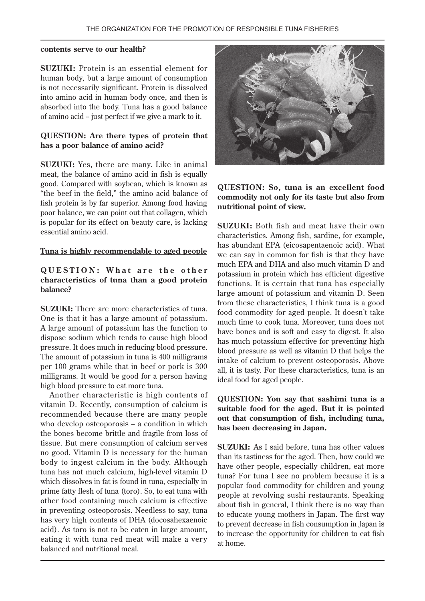#### contents serve to our health?

**SUZUKI:** Protein is an essential element for human body, but a large amount of consumption is not necessarily significant. Protein is dissolved into amino acid in human body once, and then is absorbed into the body. Tuna has a good balance of amino acid -- just perfect if we give a mark to it.

## **QUESTION:** Are there types of protein that has a poor balance of amino acid?

**SUZUKI:** Yes, there are many. Like in animal meat, the balance of amino acid in fish is equally good. Compared with soybean, which is known as "the beef in the field," the amino acid balance of fish protein is by far superior. Among food having poor balance, we can point out that collagen, which is popular for its effect on beauty care, is lacking essential amino acid.

#### Tuna is highly recommendable to aged people

## **QUESTION: What are the other** characteristics of tuna than a good protein **?balance**

**SUZUKI:** There are more characteristics of tuna. One is that it has a large amount of potassium. A large amount of potassium has the function to dispose sodium which tends to cause high blood pressure. It does much in reducing blood pressure. The amount of potassium in tuna is 400 milligrams per  $100$  grams while that in beef or pork is  $300$ milligrams. It would be good for a person having high blood pressure to eat more tuna.

Another characteristic is high contents of vitamin D. Recently, consumption of calcium is recommended because there are many people who develop osteoporosis -- a condition in which the bones become brittle and fragile from loss of tissue. But mere consumption of calcium serves hava no good. Vitamin D is necessary for the human body to ingest calcium in the body. Although tuna has not much calcium, high-level vitamin D which dissolves in fat is found in tuna, especially in prime fatty flesh of tuna (toro). So, to eat tuna with other food containing much calcium is effective in preventing osteoporosis. Needless to say, tuna has very high contents of DHA (docosahexaenoic acid). As toro is not to be eaten in large amount. eating it with tuna red meat will make a very balanced and nutritional meal.



## **QUESTION: So, tuna is an excellent food** commodity not only for its taste but also from nutritional point of view.

**SUZUKI:** Both fish and meat have their own characteristics. Among fish, sardine, for example, has abundant EPA (eicosapentaenoic acid). What we can say in common for fish is that they have much EPA and DHA and also much vitamin D and potassium in protein which has efficient digestive functions. It is certain that tuna has especially large amount of potassium and vitamin D. Seen from these characteristics, I think tuna is a good food commodity for aged people. It doesn't take much time to cook tuna. Moreover, tuna does not have bones and is soft and easy to digest. It also has much potassium effective for preventing high blood pressure as well as vitamin D that helps the intake of calcium to prevent osteoporosis. Above all, it is tasty. For these characteristics, tuna is an ideal food for aged people.

## **QUESTION:** You say that sashimi tuna is a suitable food for the aged. But it is pointed out that consumption of fish, including tuna. has been decreasing in Japan.

**SUZUKI:** As I said before, tuna has other values than its tastiness for the aged. Then, how could we have other people, especially children, eat more tuna? For tuna I see no problem because it is a popular food commodity for children and young people at revolving sushi restaurants. Speaking about fish in general. I think there is no way than to educate young mothers in Japan. The first way to prevent decrease in fish consumption in Japan is to increase the opportunity for children to eat fish at home.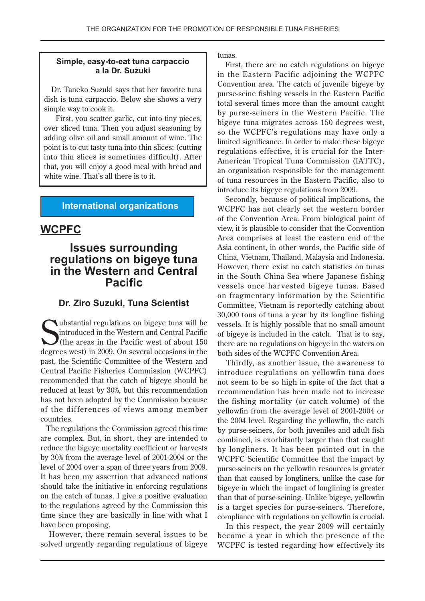## **Simple, easy-to-eat tuna carpaccio** a la Dr. Suzuki

Dr. Taneko Suzuki says that her favorite tuna dish is tuna carpaccio. Below she shows a very simple way to cook it.

First, you scatter garlic, cut into tiny pieces, over sliced tuna. Then you adjust seasoning by adding olive oil and small amount of wine. The point is to cut tasty tuna into thin slices; (cutting into thin slices is sometimes difficult). After that, you will enjoy a good meal with bread and white wine. That's all there is to it.

# **International organizations**

# **WCPFC**

# **Issues surrounding regulations** on bigeye tuna **in the Western and Central Pacific**

## **Dr. Ziro Suzuki, Tuna Scientist**

Unitated in the Western and Central Pacific<br>
(the areas in the Pacific west of about 150<br>
degrees west) in 2009. On several occasions in the  $\blacktriangleright$  ubstantial regulations on bigeye tuna will be  $\blacksquare$ introduced in the Western and Central Pacific If the areas in the Pacific west of about  $150$ past, the Scientific Committee of the Western and Central Pacific Fisheries Commission (WCPFC) recommended that the catch of bigeye should be reduced at least by 30%, but this recommendation has not been adopted by the Commission because of the differences of views among member .countries

The regulations the Commission agreed this time are complex. But, in short, they are intended to reduce the bigeye mortality coefficient or harvests by  $30\%$  from the average level of  $2001-2004$  or the level of 2004 over a span of three years from 2009. It has been my assertion that advanced nations should take the initiative in enforcing regulations on the catch of tunas. I give a positive evaluation to the regulations agreed by the Commission this time since they are basically in line with what I have been proposing.

However, there remain several issues to be solved urgently regarding regulations of bigeye .tunas

First, there are no catch regulations on bigeye in the Eastern Pacific adjoining the WCPFC Convention area. The catch of juvenile bigeye by. purse-seine fishing vessels in the Eastern Pacific total several times more than the amount caught by purse-seiners in the Western Pacific. The bigeye tuna migrates across 150 degrees west, so the WCPFC's regulations may have only a limited significance. In order to make these bigeve American Tropical Tuna Commission (IATTC), regulations effective, it is crucial for the Interan organization responsible for the management of tuna resources in the Eastern Pacific, also to introduce its bigeye regulations from 2009.

Secondly, because of political implications, the WCPFC has not clearly set the western border of the Convention Area. From biological point of view, it is plausible to consider that the Convention Area comprises at least the eastern end of the Asia continent, in other words, the Pacific side of China, Vietnam, Thailand, Malaysia and Indonesia. However, there exist no catch statistics on tunas in the South China Sea where Japanese fishing vessels once harvested bigeye tunas. Based on fragmentary information by the Scientific Committee, Vietnam is reportedly catching about  $30,000$  tons of tuna a year by its longline fishing vessels. It is highly possible that no small amount of bigeye is included in the catch. That is to say, there are no regulations on bigeye in the waters on both sides of the WCPFC Convention Area.

Thirdly, as another issue, the awareness to introduce regulations on yellowfin tuna does not seem to be so high in spite of the fact that a recommendation has been made not to increase the fishing mortality (or catch volume) of the yellowf in from the average level of 2001-2004 or the 2004 level. Regarding the yellowfin, the catch by purse-seiners, for both juveniles and adult fish combined, is exorbitantly larger than that caught by longliners. It has been pointed out in the WCPFC Scientific Committee that the impact by purse-seiners on the yellowfin resources is greater than that caused by longliners, unlike the case for bigeye in which the impact of longlining is greater than that of purse-seining. Unlike bigeye, yellowfin is a target species for purse-seiners. Therefore, compliance with regulations on yellowfin is crucial.

In this respect, the year 2009 will certainly become a year in which the presence of the WCPFC is tested regarding how effectively its